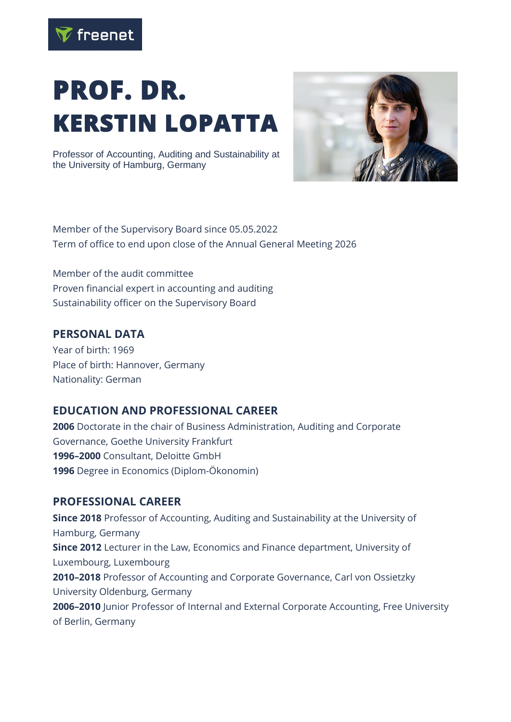

# **PROF. DR. KERSTIN LOPATTA**

Professor of Accounting, Auditing and Sustainability at the University of Hamburg, Germany



Member of the Supervisory Board since 05.05.2022 Term of office to end upon close of the Annual General Meeting 2026

Member of the audit committee Proven financial expert in accounting and auditing Sustainability officer on the Supervisory Board

#### **PERSONAL DATA**

Year of birth: 1969 Place of birth: Hannover, Germany Nationality: German

#### **EDUCATION AND PROFESSIONAL CAREER**

Doctorate in the chair of Business Administration, Auditing and Corporate Governance, Goethe University Frankfurt **–2000** Consultant, Deloitte GmbH Degree in Economics (Diplom-Ökonomin)

#### **PROFESSIONAL CAREER**

**Since 2018** Professor of Accounting, Auditing and Sustainability at the University of Hamburg, Germany **Since 2012** Lecturer in the Law, Economics and Finance department, University of Luxembourg, Luxembourg **2010–2018** Professor of Accounting and Corporate Governance, Carl von Ossietzky University Oldenburg, Germany **2006–2010** Junior Professor of Internal and External Corporate Accounting, Free University of Berlin, Germany